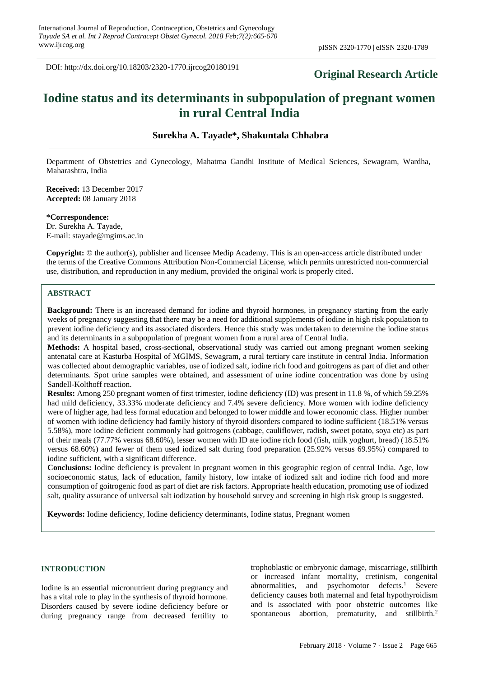DOI: http://dx.doi.org/10.18203/2320-1770.ijrcog20180191

# **Original Research Article**

# **Iodine status and its determinants in subpopulation of pregnant women in rural Central India**

# **Surekha A. Tayade\*, Shakuntala Chhabra**

Department of Obstetrics and Gynecology, Mahatma Gandhi Institute of Medical Sciences, Sewagram, Wardha, Maharashtra, India

**Received:** 13 December 2017 **Accepted:** 08 January 2018

**\*Correspondence:** Dr. Surekha A. Tayade, E-mail: stayade@mgims.ac.in

**Copyright:** © the author(s), publisher and licensee Medip Academy. This is an open-access article distributed under the terms of the Creative Commons Attribution Non-Commercial License, which permits unrestricted non-commercial use, distribution, and reproduction in any medium, provided the original work is properly cited.

#### **ABSTRACT**

**Background:** There is an increased demand for iodine and thyroid hormones, in pregnancy starting from the early weeks of pregnancy suggesting that there may be a need for additional supplements of iodine in high risk population to prevent iodine deficiency and its associated disorders. Hence this study was undertaken to determine the iodine status and its determinants in a subpopulation of pregnant women from a rural area of Central India.

**Methods:** A hospital based, cross-sectional, observational study was carried out among pregnant women seeking antenatal care at Kasturba Hospital of MGIMS, Sewagram, a rural tertiary care institute in central India. Information was collected about demographic variables, use of iodized salt, iodine rich food and goitrogens as part of diet and other determinants. Spot urine samples were obtained, and assessment of urine iodine concentration was done by using Sandell-Kolthoff reaction.

**Results:** Among 250 pregnant women of first trimester, iodine deficiency (ID) was present in 11.8 %, of which 59.25% had mild deficiency, 33.33% moderate deficiency and 7.4% severe deficiency. More women with iodine deficiency were of higher age, had less formal education and belonged to lower middle and lower economic class. Higher number of women with iodine deficiency had family history of thyroid disorders compared to iodine sufficient (18.51% versus 5.58%), more iodine deficient commonly had goitrogens (cabbage, cauliflower, radish, sweet potato, soya etc) as part of their meals (77.77% versus 68.60%), lesser women with ID ate iodine rich food (fish, milk yoghurt, bread) (18.51% versus 68.60%) and fewer of them used iodized salt during food preparation (25.92% versus 69.95%) compared to iodine sufficient, with a significant difference.

**Conclusions:** Iodine deficiency is prevalent in pregnant women in this geographic region of central India. Age, low socioeconomic status, lack of education, family history, low intake of iodized salt and iodine rich food and more consumption of goitrogenic food as part of diet are risk factors. Appropriate health education, promoting use of iodized salt, quality assurance of universal salt iodization by household survey and screening in high risk group is suggested.

**Keywords:** Iodine deficiency, Iodine deficiency determinants, Iodine status, Pregnant women

#### **INTRODUCTION**

Iodine is an essential micronutrient during pregnancy and has a vital role to play in the synthesis of thyroid hormone. Disorders caused by severe iodine deficiency before or during pregnancy range from decreased fertility to trophoblastic or embryonic damage, miscarriage, stillbirth or increased infant mortality, cretinism, congenital abnormalities, and psychomotor defects.<sup>1</sup> Severe deficiency causes both maternal and fetal hypothyroidism and is associated with poor obstetric outcomes like spontaneous abortion, prematurity, and stillbirth.<sup>2</sup>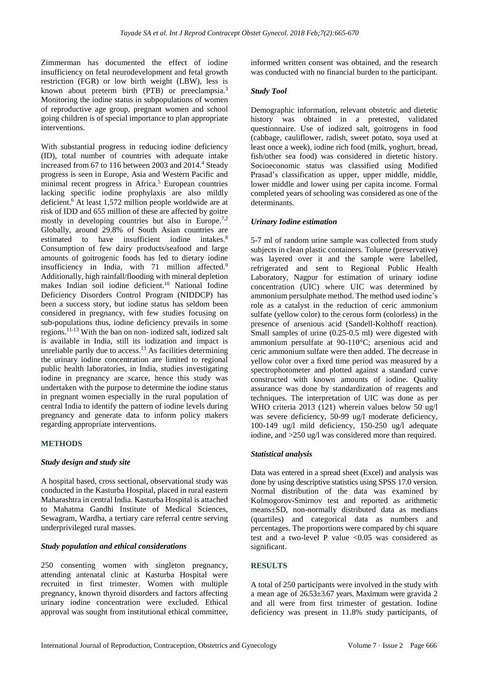Zimmerman has documented the effect of iodine insufficiency on fetal neurodevelopment and fetal growth restriction (FGR) or low birth weight (LBW), less is known about preterm birth (PTB) or preeclampsia.<sup>3</sup> Monitoring the iodine status in subpopulations of women of reproductive age group, pregnant women and school going children is of special importance to plan appropriate interventions.

With substantial progress in reducing iodine deficiency (ID), total number of countries with adequate intake increased from 67 to 116 between 2003 and 2014.<sup>4</sup> Steady progress is seen in Europe, Asia and Western Pacific and minimal recent progress in Africa.<sup>5</sup> European countries lacking specific iodine prophylaxis are also mildly deficient.<sup>6</sup> At least 1,572 million people worldwide are at risk of IDD and 655 million of these are affected by goitre mostly in developing countries but also in Europe.<sup>7,2</sup> Globally, around 29.8% of South Asian countries are estimated to have insufficient iodine intakes.<sup>8</sup> Consumption of few dairy products/seafood and large amounts of goitrogenic foods has led to dietary iodine insufficiency in India, with 71 million affected.<sup>9</sup> Additionally, high rainfall/flooding with mineral depletion makes Indian soil iodine deficient.<sup>10</sup> National Iodine Deficiency Disorders Control Program (NIDDCP) has been a success story, but iodine status has seldom been considered in pregnancy, with few studies focusing on sub-populations thus, iodine deficiency prevails in some regions. 11-13 With the ban on non- iodized salt, iodized salt is available in India, still its iodization and impact is unreliable partly due to access.<sup>13</sup> As facilities determining the urinary iodine concentration are limited to regional public health laboratories, in India, studies investigating iodine in pregnancy are scarce, hence this study was undertaken with the purpose to determine the iodine status in pregnant women especially in the rural population of central India to identify the pattern of iodine levels during pregnancy and generate data to inform policy makers regarding appropriate interventions.

# **METHODS**

# *Study design and study site*

A hospital based, cross sectional, observational study was conducted in the Kasturba Hospital, placed in rural eastern Maharashtra in central India. Kasturba Hospital is attached to Mahatma Gandhi Institute of Medical Sciences, Sewagram, Wardha, a tertiary care referral centre serving underprivileged rural masses.

# *Study population and ethical considerations*

250 consenting women with singleton pregnancy, attending antenatal clinic at Kasturba Hospital were recruited in first trimester. Women with multiple pregnancy, known thyroid disorders and factors affecting urinary iodine concentration were excluded. Ethical approval was sought from institutional ethical committee, informed written consent was obtained, and the research was conducted with no financial burden to the participant.

#### *Study Tool*

Demographic information, relevant obstetric and dietetic history was obtained in a pretested, validated questionnaire. Use of iodized salt, goitrogens in food (cabbage, cauliflower, radish, sweet potato, soya used at least once a week), iodine rich food (milk, yoghurt, bread, fish/other sea food) was considered in dietetic history. Socioeconomic status was classified using Modified Prasad's classification as upper, upper middle, middle, lower middle and lower using per capita income. Formal completed years of schooling was considered as one of the determinants.

# *Urinary Iodine estimation*

5-7 ml of random urine sample was collected from study subjects in clean plastic containers. Toluene (preservative) was layered over it and the sample were labelled, refrigerated and sent to Regional Public Health Laboratory, Nagpur for estimation of urinary iodine concentration (UIC) where UIC was determined by ammonium persulphate method. The method used iodine's role as a catalyst in the reduction of ceric ammonium sulfate (yellow color) to the cerous form (colorless) in the presence of arsenious acid (Sandell-Kolthoff reaction). Small samples of urine (0.25-0.5 ml) were digested with ammonium persulfate at 90-110°C; arsenious acid and ceric ammonium sulfate were then added. The decrease in yellow color over a fixed time period was measured by a spectrophotometer and plotted against a standard curve constructed with known amounts of iodine. Quality assurance was done by standardization of reagents and techniques. The interpretation of UIC was done as per WHO criteria 2013 (121) wherein values below 50 ug/l was severe deficiency, 50-99 ug/l moderate deficiency, 100-149 ug/l mild deficiency, 150-250 ug/l adequate iodine, and >250 ug/l was considered more than required.

# *Statistical analysis*

Data was entered in a spread sheet (Excel) and analysis was done by using descriptive statistics using SPSS 17.0 version. Normal distribution of the data was examined by Kolmogorov-Smirnov test and reported as arithmetic means±SD, non-normally distributed data as medians (quartiles) and categorical data as numbers and percentages. The proportions were compared by chi square test and a two-level P value  $< 0.05$  was considered as significant.

# **RESULTS**

A total of 250 participants were involved in the study with a mean age of 26.53±3.67 years. Maximum were gravida 2 and all were from first trimester of gestation. Iodine deficiency was present in 11.8% study participants, of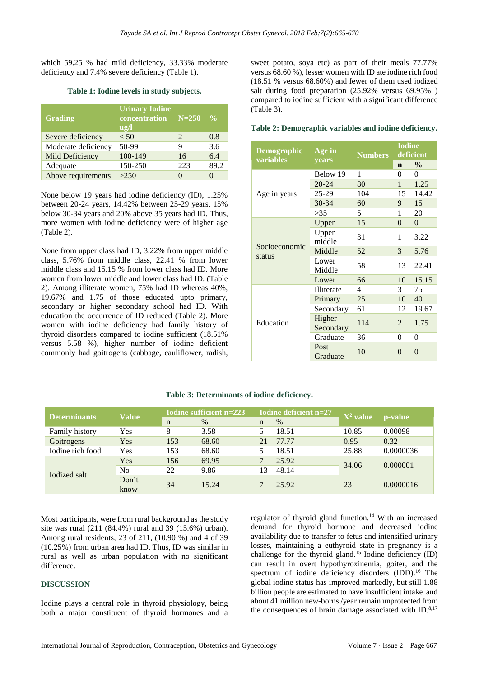which 59.25 % had mild deficiency, 33.33% moderate deficiency and 7.4% severe deficiency (Table 1).

#### **Table 1: Iodine levels in study subjects.**

| <b>Grading</b>      | <b>Urinary Iodine</b><br>concentration<br>$\mathbf{u}\mathbf{g}/\mathbf{l}$ | $N=250$                     | $\frac{0}{0}$ |
|---------------------|-----------------------------------------------------------------------------|-----------------------------|---------------|
| Severe deficiency   | < 50                                                                        | $\mathcal{D}_{\mathcal{L}}$ | 0.8           |
| Moderate deficiency | 50-99                                                                       | 9                           | 3.6           |
| Mild Deficiency     | 100-149                                                                     | 16                          | 6.4           |
| Adequate            | 150-250                                                                     | 223                         | 89.2          |
| Above requirements  | >250                                                                        |                             |               |

None below 19 years had iodine deficiency (ID), 1.25% between 20-24 years, 14.42% between 25-29 years, 15% below 30-34 years and 20% above 35 years had ID. Thus, more women with iodine deficiency were of higher age (Table 2).

None from upper class had ID, 3.22% from upper middle class, 5.76% from middle class, 22.41 % from lower middle class and 15.15 % from lower class had ID. More women from lower middle and lower class had ID. (Table 2). Among illiterate women, 75% had ID whereas 40%, 19.67% and 1.75 of those educated upto primary, secondary or higher secondary school had ID. With education the occurrence of ID reduced (Table 2). More women with iodine deficiency had family history of thyroid disorders compared to iodine sufficient (18.51% versus 5.58 %), higher number of iodine deficient commonly had goitrogens (cabbage, cauliflower, radish,

sweet potato, soya etc) as part of their meals 77.77% versus 68.60 %), lesser women with ID ate iodine rich food (18.51 % versus 68.60%) and fewer of them used iodized salt during food preparation (25.92% versus 69.95% ) compared to iodine sufficient with a significant difference (Table 3).

| <b>Demographic</b><br>variables | Age in                | <b>Numbers</b> | <b>Iodine</b><br>deficient |                |
|---------------------------------|-----------------------|----------------|----------------------------|----------------|
|                                 | years                 |                | $\mathbf n$                | $\frac{6}{9}$  |
| Age in years                    | Below 19              | 1              | $\Omega$                   | 0              |
|                                 | $20 - 24$             | 80             | $\mathbf{1}$               | 1.25           |
|                                 | 25-29                 | 104            | 15                         | 14.42          |
|                                 | $30 - 34$             | 60             | 9                          | 15             |
|                                 | >35                   | 5              | 1                          | 20             |
| Socioeconomic<br>status         | Upper                 | 15             | $\Omega$                   | $\overline{0}$ |
|                                 | Upper<br>31<br>middle |                | 1                          | 3.22           |
|                                 | Middle                | 52             | 3                          | 5.76           |
|                                 | Lower<br>Middle       | 58             | 13                         | 22.41          |
|                                 | Lower                 | 66             | 10                         | 15.15          |
| Education                       | Illiterate            | 4              | 3                          | 75             |
|                                 | Primary               | 25             | 10 <sup>1</sup>            | 40             |
|                                 | Secondary             | 61             | 12                         | 19.67          |
|                                 | Higher<br>Secondary   | 114            | $\mathfrak{D}$             | 1.75           |
|                                 | Graduate              | 36             | 0                          | 0              |
|                                 | Post<br>Graduate      | 10             | $\Omega$                   | $\Omega$       |

#### **Table 2: Demographic variables and iodine deficiency.**

| <b>Determinants</b>   | Value         | Iodine sufficient $n=223$ |       | Iodine deficient $n=27$ |       | $X^2$ value |           |
|-----------------------|---------------|---------------------------|-------|-------------------------|-------|-------------|-----------|
|                       |               | $\mathbf n$               | $\%$  | $\mathbf n$             | $\%$  |             | p-value   |
| <b>Family history</b> | Yes           | 8                         | 3.58  |                         | 18.51 | 10.85       | 0.00098   |
| Goitrogens            | Yes           | 153                       | 68.60 |                         | 77.77 | 0.95        | 0.32      |
| Iodine rich food      | Yes           | 153                       | 68.60 |                         | 18.51 | 25.88       | 0.0000036 |
| Iodized salt          | Yes           | 156                       | 69.95 |                         | 25.92 | 34.06       | 0.000001  |
|                       | No            | 22                        | 9.86  | 13                      | 48.14 |             |           |
|                       | Don't<br>know | 34                        | 15.24 |                         | 25.92 | 23          | 0.0000016 |

Most participants, were from rural background as the study site was rural (211 (84.4%) rural and 39 (15.6%) urban). Among rural residents, 23 of 211, (10.90 %) and 4 of 39 (10.25%) from urban area had ID. Thus, ID was similar in rural as well as urban population with no significant difference.

#### **DISCUSSION**

Iodine plays a central role in thyroid physiology, being both a major constituent of thyroid hormones and a regulator of thyroid gland function.<sup>14</sup> With an increased demand for thyroid hormone and decreased iodine availability due to transfer to fetus and intensified urinary losses, maintaining a euthyroid state in pregnancy is a challenge for the thyroid gland.<sup>15</sup> Iodine deficiency (ID) can result in overt hypothyroxinemia, goiter, and the spectrum of iodine deficiency disorders (IDD).<sup>16</sup> The global iodine status has improved markedly, but still 1.88 billion people are estimated to have insufficient intake and about 41 million new-borns /year remain unprotected from the consequences of brain damage associated with ID. $8,17$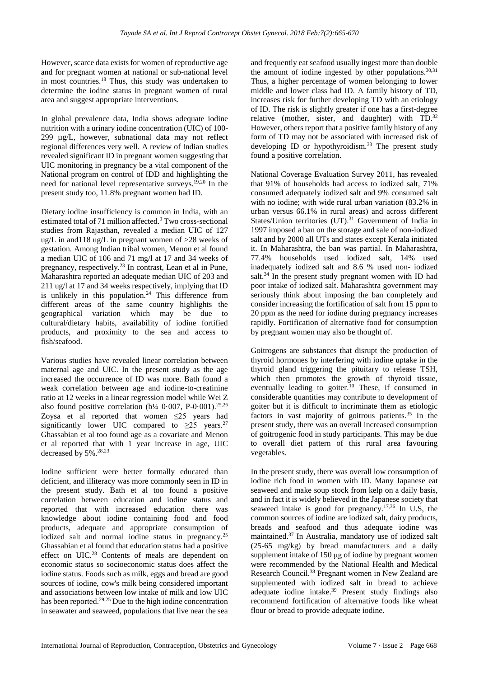However, scarce data exists for women of reproductive age and for pregnant women at national or sub-national level in most countries.<sup>18</sup> Thus, this study was undertaken to determine the iodine status in pregnant women of rural area and suggest appropriate interventions.

In global prevalence data, India shows adequate iodine nutrition with a urinary iodine concentration (UIC) of 100- 299 µg/L, however, subnational data may not reflect regional differences very well. A review of Indian studies revealed significant ID in pregnant women suggesting that UIC monitoring in pregnancy be a vital component of the National program on control of IDD and highlighting the need for national level representative surveys.19,20 In the present study too, 11.8% pregnant women had ID.

Dietary iodine insufficiency is common in India, with an estimated total of 71 million affected.<sup>9</sup> Two cross-sectional studies from Rajasthan, revealed a median UIC of 127 ug/L in and 118 ug/L in pregnant women of  $>28$  weeks of gestation. Among Indian tribal women, Menon et al found a median UIC of 106 and 71 mg/l at 17 and 34 weeks of pregnancy, respectively.<sup>23</sup> In contrast, Lean et al in Pune, Maharashtra reported an adequate median UIC of 203 and 211 ug/l at 17 and 34 weeks respectively, implying that ID is unlikely in this population.<sup>24</sup> This difference from different areas of the same country highlights the geographical variation which may be due to cultural/dietary habits, availability of iodine fortified products, and proximity to the sea and access to fish/seafood.

Various studies have revealed linear correlation between maternal age and UIC. In the present study as the age increased the occurrence of ID was more. Bath found a weak correlation between age and iodine-to-creatinine ratio at 12 weeks in a linear regression model while Wei Z also found positive correlation ( $b\frac{1}{4}$  0·007, P-0·001).<sup>25,26</sup> Zoysa et al reported that women  $\leq 25$  years had significantly lower UIC compared to  $\geq 25$  years.<sup>27</sup> Ghassabian et al too found age as a covariate and Menon et al reported that with 1 year increase in age, UIC decreased by 5%.<sup>28,23</sup>

Iodine sufficient were better formally educated than deficient, and illiteracy was more commonly seen in ID in the present study. Bath et al too found a positive correlation between education and iodine status and reported that with increased education there was knowledge about iodine containing food and food products, adequate and appropriate consumption of iodized salt and normal iodine status in pregnancy.<sup>25</sup> Ghassabian et al found that education status had a positive effect on UIC.<sup>28</sup> Contents of meals are dependent on economic status so socioeconomic status does affect the iodine status. Foods such as milk, eggs and bread are good sources of iodine, cow's milk being considered important and associations between low intake of milk and low UIC has been reported.<sup>29,25</sup> Due to the high iodine concentration in seawater and seaweed, populations that live near the sea and frequently eat seafood usually ingest more than double the amount of iodine ingested by other populations. $30,31$ Thus, a higher percentage of women belonging to lower middle and lower class had ID. A family history of TD, increases risk for further developing TD with an etiology of ID. The risk is slightly greater if one has a first-degree relative (mother, sister, and daughter) with TD.<sup>32</sup> However, others report that a positive family history of any form of TD may not be associated with increased risk of developing ID or hypothyroidism.<sup>33</sup> The present study found a positive correlation.

National Coverage Evaluation Survey 2011, has revealed that 91% of households had access to iodized salt, 71% consumed adequately iodized salt and 9% consumed salt with no iodine; with wide rural urban variation (83.2% in urban versus 66.1% in rural areas) and across different States/Union territories (UT). <sup>31</sup> Government of India in 1997 imposed a ban on the storage and sale of non-iodized salt and by 2000 all UTs and states except Kerala initiated it. In Maharashtra, the ban was partial. In Maharashtra, 77.4% households used iodized salt, 14% used inadequately iodized salt and 8.6 % used non- iodized salt.<sup>34</sup> In the present study pregnant women with ID had poor intake of iodized salt. Maharashtra government may seriously think about imposing the ban completely and consider increasing the fortification of salt from 15 ppm to 20 ppm as the need for iodine during pregnancy increases rapidly. Fortification of alternative food for consumption by pregnant women may also be thought of.

Goitrogens are substances that disrupt the production of [thyroid hormones](https://en.wikipedia.org/wiki/Thyroid_hormones) by interfering with iodine uptake in the thyroid gland triggering the [pituitary](https://en.wikipedia.org/wiki/Pituitary) to release TSH, which then promotes the growth of thyroid tissue, eventually leading to [goiter.](https://en.wikipedia.org/wiki/Goiter) <sup>10</sup> These, if consumed in considerable quantities may contribute to development of goiter but it is difficult to incriminate them as etiologic factors in vast majority of goitrous patients. $35$  In the present study, there was an overall increased consumption of goitrogenic food in study participants. This may be due to overall diet pattern of this rural area favouring vegetables.

In the present study, there was overall low consumption of iodine rich food in women with ID. Many Japanese eat seaweed and make soup stock from kelp on a daily basis, and in fact it is widely believed in the Japanese society that seaweed intake is good for pregnancy.<sup>17,36</sup> In U.S, the common sources of iodine are iodized salt, dairy products, breads and seafood and thus adequate iodine was maintained.<sup>37</sup> In Australia, mandatory use of iodized salt (25-65 mg/kg) by bread manufacturers and a daily supplement intake of 150 μg of iodine by pregnant women were recommended by the National Health and Medical Research Council.<sup>38</sup> Pregnant women in New Zealand are supplemented with iodized salt in bread to achieve adequate iodine intake.<sup>39</sup> Present study findings also recommend fortification of alternative foods like wheat flour or bread to provide adequate iodine.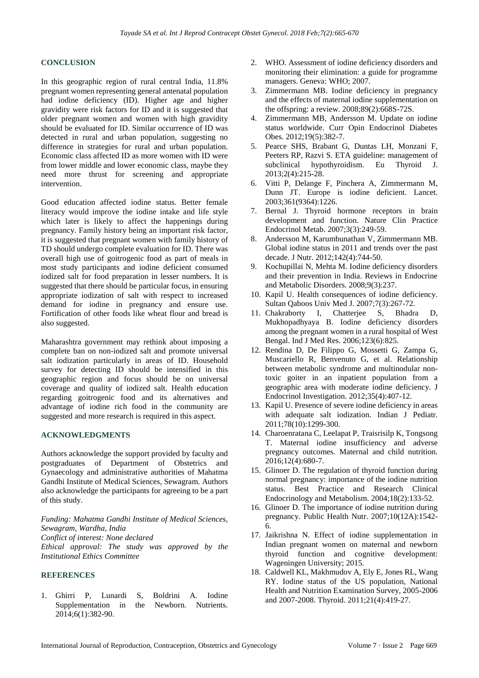# **CONCLUSION**

In this geographic region of rural central India, 11.8% pregnant women representing general antenatal population had iodine deficiency (ID). Higher age and higher gravidity were risk factors for ID and it is suggested that older pregnant women and women with high gravidity should be evaluated for ID. Similar occurrence of ID was detected in rural and urban population, suggesting no difference in strategies for rural and urban population. Economic class affected ID as more women with ID were from lower middle and lower economic class, maybe they need more thrust for screening and appropriate intervention.

Good education affected iodine status. Better female literacy would improve the iodine intake and life style which later is likely to affect the happenings during pregnancy. Family history being an important risk factor, it is suggested that pregnant women with family history of TD should undergo complete evaluation for ID. There was overall high use of goitrogenic food as part of meals in most study participants and iodine deficient consumed iodized salt for food preparation in lesser numbers. It is suggested that there should be particular focus, in ensuring appropriate iodization of salt with respect to increased demand for iodine in pregnancy and ensure use. Fortification of other foods like wheat flour and bread is also suggested.

Maharashtra government may rethink about imposing a complete ban on non-iodized salt and promote universal salt iodization particularly in areas of ID. Household survey for detecting ID should be intensified in this geographic region and focus should be on universal coverage and quality of iodized salt. Health education regarding goitrogenic food and its alternatives and advantage of iodine rich food in the community are suggested and more research is required in this aspect.

#### **ACKNOWLEDGMENTS**

Authors acknowledge the support provided by faculty and postgraduates of Department of Obstetrics and Gynaecology and administrative authorities of Mahatma Gandhi Institute of Medical Sciences, Sewagram. Authors also acknowledge the participants for agreeing to be a part of this study.

*Funding: Mahatma Gandhi Institute of Medical Sciences, Sewagram, Wardha, India Conflict of interest: None declared Ethical approval: The study was approved by the Institutional Ethics Committee*

#### **REFERENCES**

1. Ghirri P, Lunardi S, Boldrini A. Iodine Supplementation in the Newborn. Nutrients. 2014;6(1):382-90.

- 2. WHO. Assessment of iodine deficiency disorders and monitoring their elimination: a guide for programme managers. Geneva: WHO; 2007.
- 3. Zimmermann MB. Iodine deficiency in pregnancy and the effects of maternal iodine supplementation on the offspring: a review. 2008;89(2):668S-72S.
- 4. Zimmermann MB, Andersson M. Update on iodine status worldwide. Curr Opin Endocrinol Diabetes Obes. 2012;19(5):382-7.
- 5. Pearce SHS, Brabant G, Duntas LH, Monzani F, Peeters RP, Razvi S. ETA guideline: management of subclinical hypothyroidism. Eu Thyroid J. 2013;2(4):215-28.
- 6. Vitti P, Delange F, Pinchera A, Zimmermann M, Dunn JT. Europe is iodine deficient. Lancet. 2003;361(9364):1226.
- 7. Bernal J. Thyroid hormone receptors in brain development and function. Nature Clin Practice Endocrinol Metab. 2007;3(3):249-59.
- 8. Andersson M, Karumbunathan V, Zimmermann MB. Global iodine status in 2011 and trends over the past decade. J Nutr. 2012;142(4):744-50.
- 9. Kochupillai N, Mehta M. Iodine deficiency disorders and their prevention in India. Reviews in Endocrine and Metabolic Disorders. 2008;9(3):237.
- 10. Kapil U. Health consequences of iodine deficiency. Sultan Qaboos Univ Med J. 2007;7(3):267-72.
- 11. Chakraborty I, Chatterjee S, Bhadra D, Mukhopadhyaya B. Iodine deficiency disorders among the pregnant women in a rural hospital of West Bengal. Ind J Med Res. 2006;123(6):825.
- 12. Rendina D, De Filippo G, Mossetti G, Zampa G, Muscariello R, Benvenuto G, et al. Relationship between metabolic syndrome and multinodular nontoxic goiter in an inpatient population from a geographic area with moderate iodine deficiency. J Endocrinol Investigation. 2012;35(4):407-12.
- 13. Kapil U. Presence of severe iodine deficiency in areas with adequate salt iodization. Indian J Pediatr. 2011;78(10):1299-300.
- 14. Charoenratana C, Leelapat P, Traisrisilp K, Tongsong T. Maternal iodine insufficiency and adverse pregnancy outcomes. Maternal and child nutrition. 2016;12(4):680-7.
- 15. Glinoer D. The regulation of thyroid function during normal pregnancy: importance of the iodine nutrition status. Best Practice and Research Clinical Endocrinology and Metabolism. 2004;18(2):133-52.
- 16. Glinoer D. The importance of iodine nutrition during pregnancy. Public Health Nutr. 2007;10(12A):1542- 6.
- 17. Jaikrishna N. Effect of iodine supplementation in Indian pregnant women on maternal and newborn thyroid function and cognitive development: Wageningen University; 2015.
- 18. Caldwell KL, Makhmudov A, Ely E, Jones RL, Wang RY. Iodine status of the US population, National Health and Nutrition Examination Survey, 2005-2006 and 2007-2008. Thyroid. 2011;21(4):419-27.